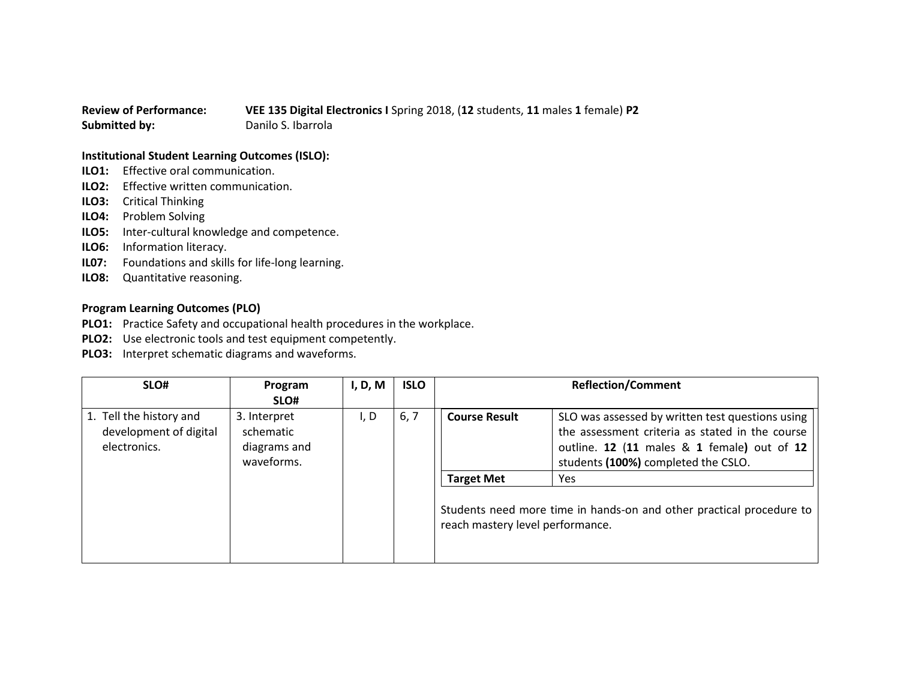## **Review of Performance: VEE 135 Digital Electronics I** Spring 2018, (**12** students, **11** males **1** female) **P2 Submitted by:** Danilo S. Ibarrola

## **Institutional Student Learning Outcomes (ISLO):**

- **ILO1:** Effective oral communication.
- **ILO2:** Effective written communication.
- **ILO3:** Critical Thinking
- **ILO4:** Problem Solving
- **ILO5:** Inter-cultural knowledge and competence.
- **ILO6:** Information literacy.
- **IL07:** Foundations and skills for life-long learning.
- **ILO8:** Quantitative reasoning.

## **Program Learning Outcomes (PLO)**

- **PLO1:** Practice Safety and occupational health procedures in the workplace.
- **PLO2:** Use electronic tools and test equipment competently.
- **PLO3:** Interpret schematic diagrams and waveforms.

| SLO#                                                              | Program                                                         | I, D, M | <b>ISLO</b> |                                                                               | <b>Reflection/Comment</b>                                                                                                                                                                                                                                                 |
|-------------------------------------------------------------------|-----------------------------------------------------------------|---------|-------------|-------------------------------------------------------------------------------|---------------------------------------------------------------------------------------------------------------------------------------------------------------------------------------------------------------------------------------------------------------------------|
| 1. Tell the history and<br>development of digital<br>electronics. | SLO#<br>3. Interpret<br>schematic<br>diagrams and<br>waveforms. | I, D    | 6, 7        | <b>Course Result</b><br><b>Target Met</b><br>reach mastery level performance. | SLO was assessed by written test questions using<br>the assessment criteria as stated in the course<br>outline. 12 (11 males & 1 female) out of 12<br>students (100%) completed the CSLO.<br>Yes.<br>Students need more time in hands-on and other practical procedure to |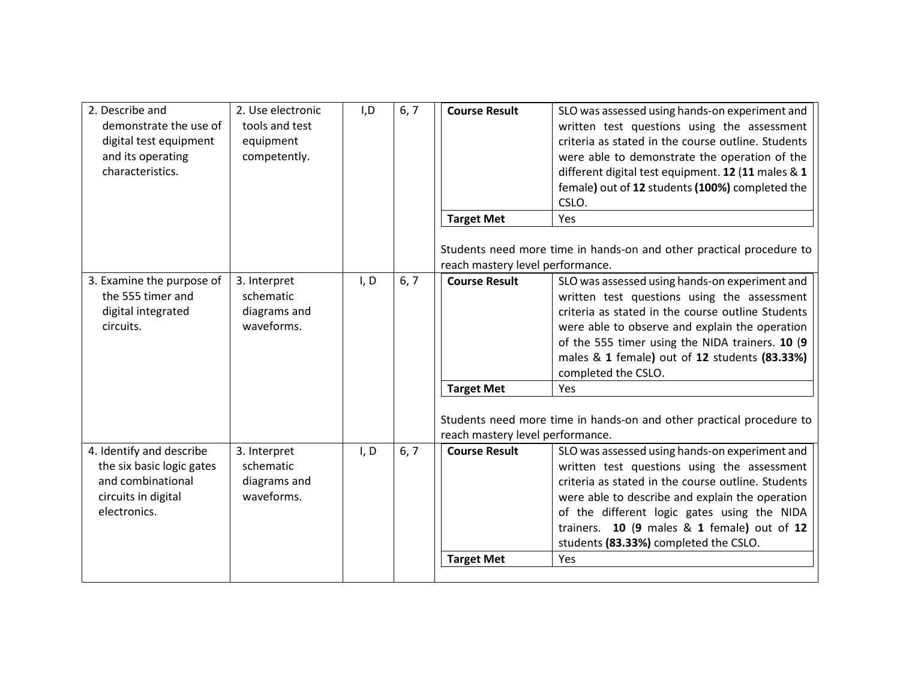| 2. Describe and<br>demonstrate the use of<br>digital test equipment<br>and its operating<br>characteristics.      | 2. Use electronic<br>tools and test<br>equipment<br>competently. | I, D | 6, 7 | <b>Course Result</b><br><b>Target Met</b>             | SLO was assessed using hands-on experiment and<br>written test questions using the assessment<br>criteria as stated in the course outline. Students<br>were able to demonstrate the operation of the<br>different digital test equipment. 12 (11 males & 1<br>female) out of 12 students (100%) completed the<br>CSLO.<br>Yes                        |
|-------------------------------------------------------------------------------------------------------------------|------------------------------------------------------------------|------|------|-------------------------------------------------------|------------------------------------------------------------------------------------------------------------------------------------------------------------------------------------------------------------------------------------------------------------------------------------------------------------------------------------------------------|
|                                                                                                                   |                                                                  |      |      | reach mastery level performance.                      | Students need more time in hands-on and other practical procedure to                                                                                                                                                                                                                                                                                 |
| 3. Examine the purpose of<br>the 555 timer and<br>digital integrated<br>circuits.                                 | 3. Interpret<br>schematic<br>diagrams and<br>waveforms.          | I, D | 6, 7 | <b>Course Result</b>                                  | SLO was assessed using hands-on experiment and<br>written test questions using the assessment<br>criteria as stated in the course outline Students<br>were able to observe and explain the operation<br>of the 555 timer using the NIDA trainers. 10 (9<br>males & 1 female) out of 12 students (83.33%)<br>completed the CSLO.                      |
|                                                                                                                   |                                                                  |      |      | <b>Target Met</b><br>reach mastery level performance. | Yes<br>Students need more time in hands-on and other practical procedure to                                                                                                                                                                                                                                                                          |
| 4. Identify and describe<br>the six basic logic gates<br>and combinational<br>circuits in digital<br>electronics. | 3. Interpret<br>schematic<br>diagrams and<br>waveforms.          | I, D | 6, 7 | <b>Course Result</b><br><b>Target Met</b>             | SLO was assessed using hands-on experiment and<br>written test questions using the assessment<br>criteria as stated in the course outline. Students<br>were able to describe and explain the operation<br>of the different logic gates using the NIDA<br>trainers. 10 (9 males & 1 female) out of 12<br>students (83.33%) completed the CSLO.<br>Yes |
|                                                                                                                   |                                                                  |      |      |                                                       |                                                                                                                                                                                                                                                                                                                                                      |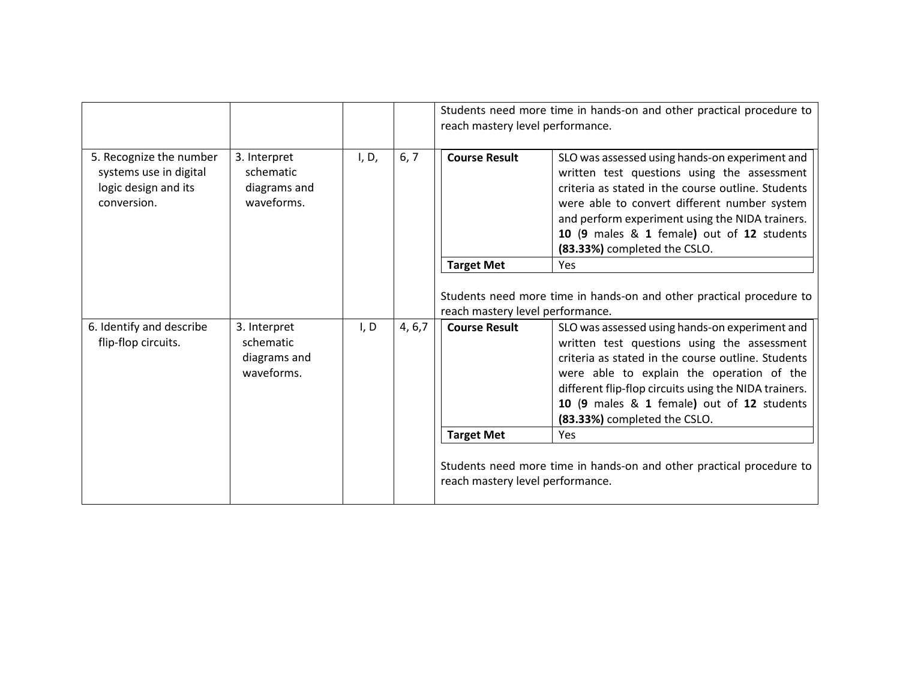|                                                                                          |                                                         |       |         | Students need more time in hands-on and other practical procedure to<br>reach mastery level performance. |                                                                                                                                                                                                                                                                                                                                         |
|------------------------------------------------------------------------------------------|---------------------------------------------------------|-------|---------|----------------------------------------------------------------------------------------------------------|-----------------------------------------------------------------------------------------------------------------------------------------------------------------------------------------------------------------------------------------------------------------------------------------------------------------------------------------|
| 5. Recognize the number<br>systems use in digital<br>logic design and its<br>conversion. | 3. Interpret<br>schematic<br>diagrams and<br>waveforms. | I, D, | 6, 7    | <b>Course Result</b>                                                                                     | SLO was assessed using hands-on experiment and<br>written test questions using the assessment<br>criteria as stated in the course outline. Students<br>were able to convert different number system<br>and perform experiment using the NIDA trainers.<br>10 (9 males & 1 female) out of 12 students<br>(83.33%) completed the CSLO.    |
|                                                                                          |                                                         |       |         | <b>Target Met</b>                                                                                        | <b>Yes</b>                                                                                                                                                                                                                                                                                                                              |
|                                                                                          |                                                         |       |         | reach mastery level performance.                                                                         | Students need more time in hands-on and other practical procedure to                                                                                                                                                                                                                                                                    |
| 6. Identify and describe<br>flip-flop circuits.                                          | 3. Interpret<br>schematic<br>diagrams and<br>waveforms. | I, D  | 4, 6, 7 | <b>Course Result</b>                                                                                     | SLO was assessed using hands-on experiment and<br>written test questions using the assessment<br>criteria as stated in the course outline. Students<br>were able to explain the operation of the<br>different flip-flop circuits using the NIDA trainers.<br>10 (9 males & 1 female) out of 12 students<br>(83.33%) completed the CSLO. |
|                                                                                          |                                                         |       |         | <b>Target Met</b>                                                                                        | <b>Yes</b>                                                                                                                                                                                                                                                                                                                              |
|                                                                                          |                                                         |       |         | reach mastery level performance.                                                                         | Students need more time in hands-on and other practical procedure to                                                                                                                                                                                                                                                                    |